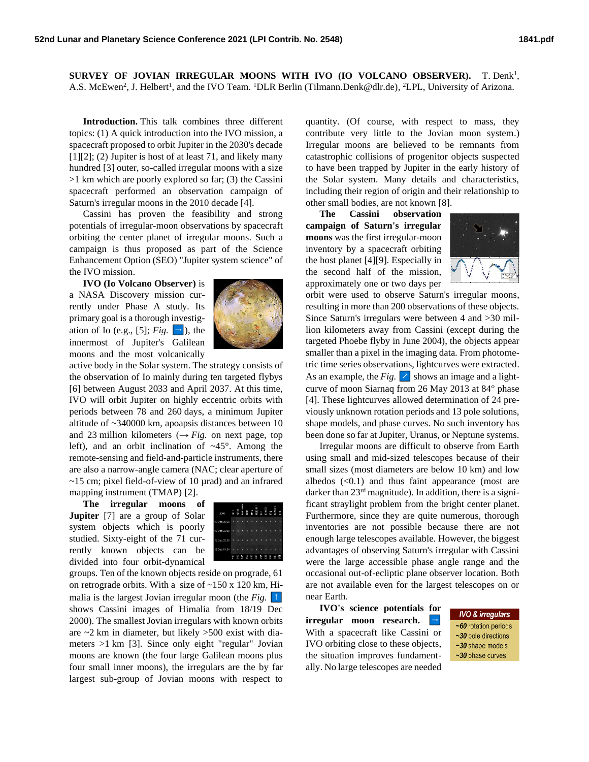SURVEY OF JOVIAN IRREGULAR MOONS WITH IVO (IO VOLCANO OBSERVER). T. Denk<sup>1</sup>, A.S. McEwen<sup>2</sup>, J. Helbert<sup>1</sup>, and the IVO Team. <sup>1</sup>DLR Berlin (Tilmann.Denk@dlr.de), <sup>2</sup>LPL, University of Arizona.

**Introduction.** This talk combines three different topics: (1) A quick introduction into the IVO mission, a spacecraft proposed to orbit Jupiter in the 2030's decade  $[1][2]$ ; (2) Jupiter is host of at least 71, and likely many hundred [3] outer, so-called irregular moons with a size >1 km which are poorly explored so far; (3) the Cassini spacecraft performed an observation campaign of Saturn's irregular moons in the 2010 decade [4].

Cassini has proven the feasibility and strong potentials of irregular-moon observations by spacecraft orbiting the center planet of irregular moons. Such a campaign is thus proposed as part of the Science Enhancement Option (SEO) "Jupiter system science" of the IVO mission.

**IVO (Io Volcano Observer)** is a NASA Discovery mission currently under Phase A study. Its primary goal is a thorough investigation of Io (e.g., [5];  $Fig. \Box$ ), the innermost of Jupiter's Galilean moons and the most volcanically



active body in the Solar system. The strategy consists of the observation of Io mainly during ten targeted flybys [6] between August 2033 and April 2037. At this time, IVO will orbit Jupiter on highly eccentric orbits with periods between 78 and 260 days, a minimum Jupiter altitude of ~340000 km, apoapsis distances between 10 and 23 million kilometers  $(\rightarrow Fig.$  on next page, top left), and an orbit inclination of  $\sim 45^\circ$ . Among the remote-sensing and field-and-particle instruments, there are also a narrow-angle camera (NAC; clear aperture of ~15 cm; pixel field-of-view of 10 µrad) and an infrared mapping instrument (TMAP) [2].

**The irregular moons of** 

**Jupiter** [7] are a group of Solar system objects which is poorly studied. Sixty-eight of the 71 currently known objects can be divided into four orbit-dynamical



groups. Ten of the known objects reside on prograde, 61 on retrograde orbits. With a size of ~150 x 120 km, Himalia is the largest Jovian irregular moon (the *Fig.* shows Cassini images of Himalia from 18/19 Dec 2000). The smallest Jovian irregulars with known orbits are  $\sim$ 2 km in diameter, but likely  $>$ 500 exist with diameters >1 km [3]. Since only eight "regular" Jovian moons are known (the four large Galilean moons plus four small inner moons), the irregulars are the by far largest sub-group of Jovian moons with respect to

quantity. (Of course, with respect to mass, they contribute very little to the Jovian moon system.) Irregular moons are believed to be remnants from catastrophic collisions of progenitor objects suspected to have been trapped by Jupiter in the early history of the Solar system. Many details and characteristics, including their region of origin and their relationship to other small bodies, are not known [8].

**The Cassini observation campaign of Saturn's irregular moons** was the first irregular-moon inventory by a spacecraft orbiting the host planet [4][9]. Especially in the second half of the mission, approximately one or two days per



orbit were used to observe Saturn's irregular moons, resulting in more than 200 observations of these objects. Since Saturn's irregulars were between 4 and >30 million kilometers away from Cassini (except during the targeted Phoebe flyby in June 2004), the objects appear smaller than a pixel in the imaging data. From photometric time series observations, lightcurves were extracted. As an example, the *Fig.*  $\triangleright$  shows an image and a lightcurve of moon Siarnaq from 26 May 2013 at 84° phase [4]. These lightcurves allowed determination of 24 previously unknown rotation periods and 13 pole solutions, shape models, and phase curves. No such inventory has been done so far at Jupiter, Uranus, or Neptune systems.

Irregular moons are difficult to observe from Earth using small and mid-sized telescopes because of their small sizes (most diameters are below 10 km) and low albedos  $( $0.1$ )$  and thus faint appearance (most are darker than  $23<sup>rd</sup>$  magnitude). In addition, there is a significant straylight problem from the bright center planet. Furthermore, since they are quite numerous, thorough inventories are not possible because there are not enough large telescopes available. However, the biggest advantages of observing Saturn's irregular with Cassini were the large accessible phase angle range and the occasional out-of-ecliptic plane observer location. Both are not available even for the largest telescopes on or near Earth.

**IVO's science potentials for irregular moon research.** With a spacecraft like Cassini or IVO orbiting close to these objects, the situation improves fundamentally. No large telescopes are needed

## **IVO & irregulars**

~60 rotation periods ~30 pole directions ~30 shape models ~30 phase curves